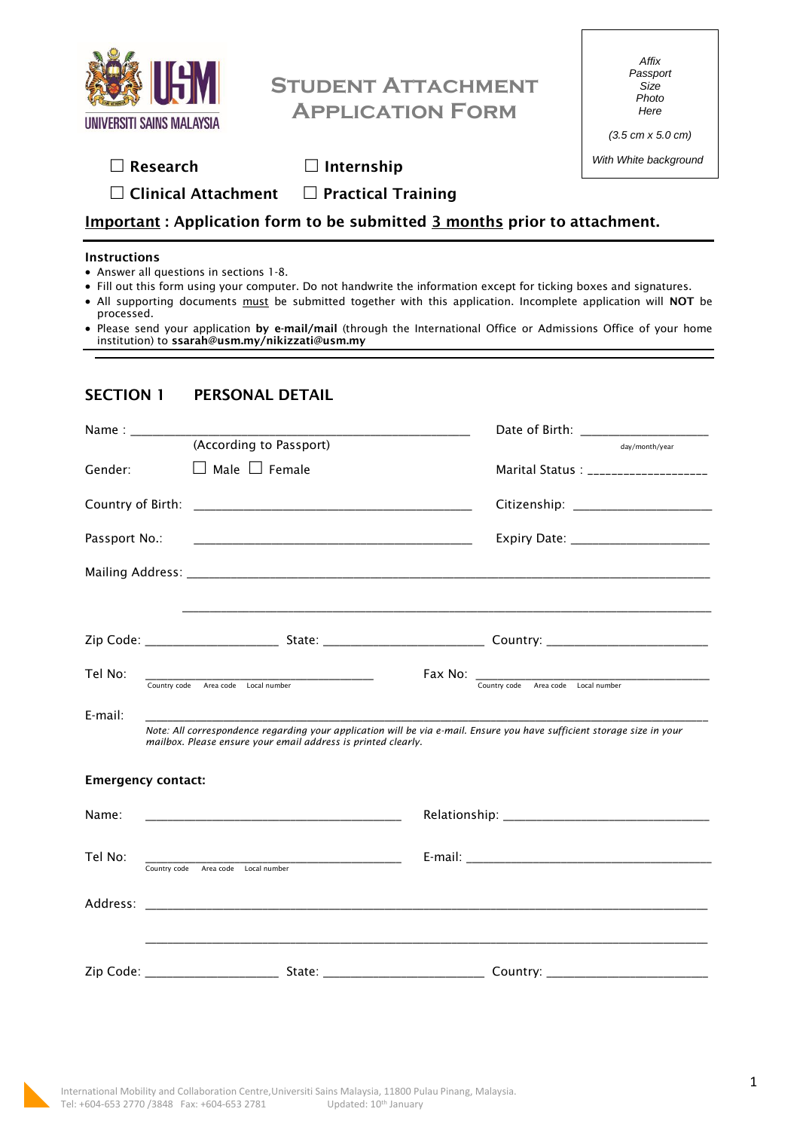

# **Student Attachment Application Form**

*Affix Passport Size Photo Here*

*(3.5 cm x 5.0 cm) With White background*

| $\Box$ Research |
|-----------------|
|-----------------|

**Research Internship** 

**Clinical Attachment Practical Training**

## **Important : Application form to be submitted 3 months prior to attachment.**

#### **Instructions**

- Answer all questions in sections 1-8.
- Fill out this form using your computer. Do not handwrite the information except for ticking boxes and signatures.
- All supporting documents must be submitted together with this application. Incomplete application will **NOT** be processed.
- Please send your application **by e-mail/mail** (through the International Office or Admissions Office of your home institution) to **ssarah@usm.my/nikizzati@usm.my**

## **SECTION 1 PERSONAL DETAIL**

|               |                                                               | Date of Birth: ____________________                                                                                     |
|---------------|---------------------------------------------------------------|-------------------------------------------------------------------------------------------------------------------------|
|               | (According to Passport)                                       | day/month/year                                                                                                          |
| Gender:       | $\Box$ Male $\Box$ Female                                     | Marital Status : ____________________                                                                                   |
|               |                                                               |                                                                                                                         |
| Passport No.: |                                                               |                                                                                                                         |
|               |                                                               |                                                                                                                         |
|               |                                                               |                                                                                                                         |
|               |                                                               |                                                                                                                         |
| Tel No:       | Country code Area code Local number                           | Fax No: Country code Area code Local number                                                                             |
| E-mail:       | mailbox. Please ensure your email address is printed clearly. | Note: All correspondence regarding your application will be via e-mail. Ensure you have sufficient storage size in your |
|               | <b>Emergency contact:</b>                                     |                                                                                                                         |
| Name:         |                                                               |                                                                                                                         |
| Tel No:       | Country code Area code Local number                           |                                                                                                                         |
|               |                                                               |                                                                                                                         |
|               |                                                               |                                                                                                                         |
|               |                                                               |                                                                                                                         |

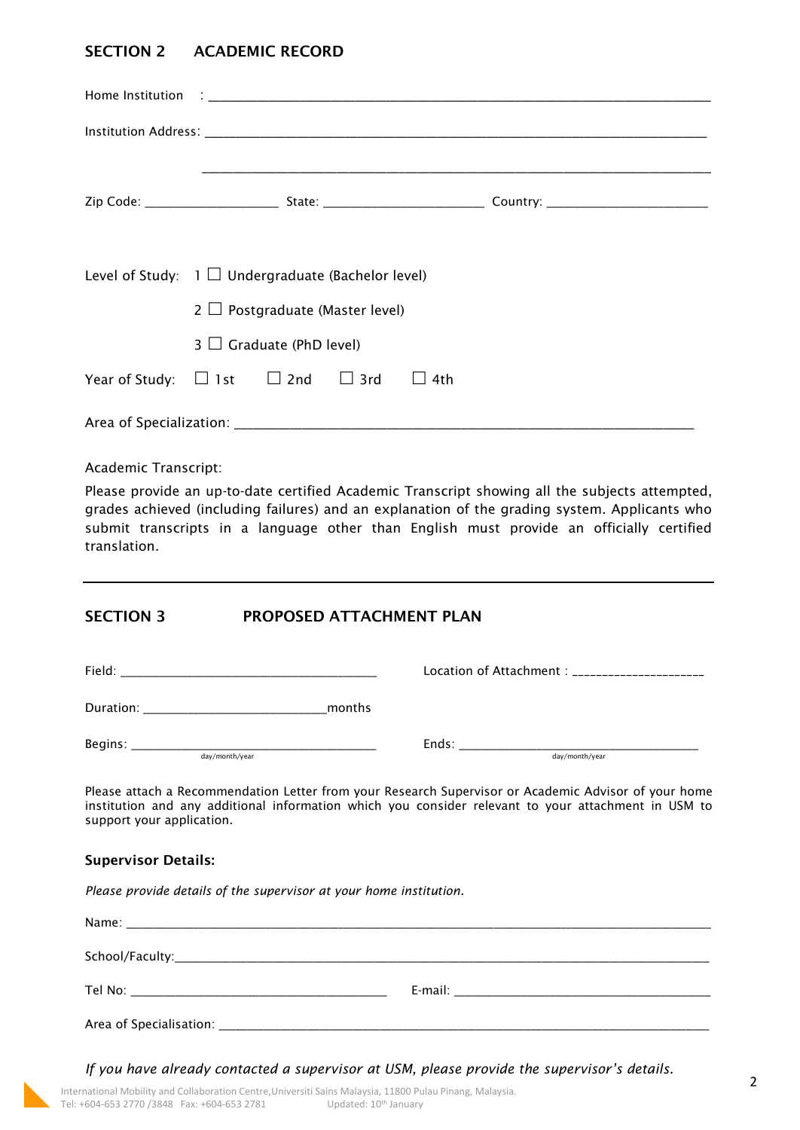## **SECTION 2 ACADEMIC RECORD**

|                                                            | Level of Study: $1 \square$ Undergraduate (Bachelor level)<br>$2 \Box$ Postgraduate (Master level) |                               |  |  |  |  |
|------------------------------------------------------------|----------------------------------------------------------------------------------------------------|-------------------------------|--|--|--|--|
|                                                            |                                                                                                    | $3 \Box$ Graduate (PhD level) |  |  |  |  |
| Year of Study: $\Box$ 1st $\Box$ 2nd $\Box$ 3rd $\Box$ 4th |                                                                                                    |                               |  |  |  |  |
|                                                            |                                                                                                    |                               |  |  |  |  |

Academic Transcript:

Please provide an up-to-date certified Academic Transcript showing all the subjects attempted, grades achieved (including failures) and an explanation of the grading system. Applicants who submit transcripts in a language other than English must provide an officially certified translation.

### **SECTION 3 PROPOSED ATTACHMENT PLAN**

| Field:                    |        | Location of Attachment : _____________________ |
|---------------------------|--------|------------------------------------------------|
| Duration:                 | months |                                                |
| Begins:<br>day/month/year |        | Ends:<br>day/month/year                        |

Please attach a Recommendation Letter from your Research Supervisor or Academic Advisor of your home institution and any additional information which you consider relevant to your attachment in USM to support your application.

#### **Supervisor Details:**

*Please provide details of the supervisor at your home institution.* 

*If you have already contacted a supervisor at USM, please provide the supervisor's details.*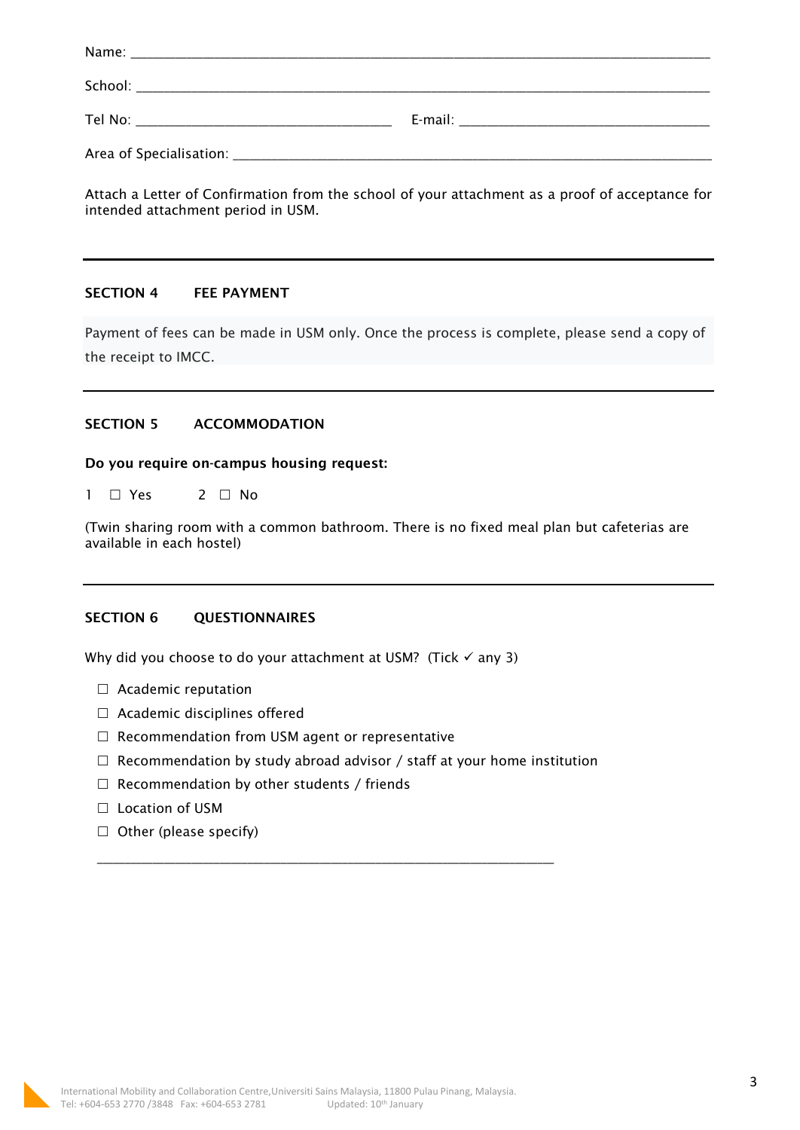| E-mail: The contract of the contract of the contract of the contract of the contract of the contract of the contract of the contract of the contract of the contract of the contract of the contract of the contract of the co |
|--------------------------------------------------------------------------------------------------------------------------------------------------------------------------------------------------------------------------------|
|                                                                                                                                                                                                                                |

Attach a Letter of Confirmation from the school of your attachment as a proof of acceptance for intended attachment period in USM.

#### **SECTION 4 FEE PAYMENT**

Payment of fees can be made in USM only. Once the process is complete, please send a copy of the receipt to IMCC.

#### **SECTION 5 ACCOMMODATION**

#### **Do you require on-campus housing request:**

 $1 \square Y$ es  $2 \square N$ o

(Twin sharing room with a common bathroom. There is no fixed meal plan but cafeterias are available in each hostel)

#### **SECTION 6 QUESTIONNAIRES**

Why did you choose to do your attachment at USM? (Tick  $\checkmark$  any 3)

- □ Academic reputation
- $\Box$  Academic disciplines offered
- $\Box$  Recommendation from USM agent or representative
- $\Box$  Recommendation by study abroad advisor / staff at your home institution

\_\_\_\_\_\_\_\_\_\_\_\_\_\_\_\_\_\_\_\_\_\_\_\_\_\_\_\_\_\_\_\_\_\_\_\_\_\_\_\_\_\_\_\_\_\_\_\_\_\_\_\_\_\_\_\_\_\_\_\_\_\_\_\_\_\_\_\_\_\_\_\_\_\_\_\_\_\_\_\_\_\_

- $\Box$  Recommendation by other students / friends
- □ Location of USM
- $\Box$  Other (please specify)